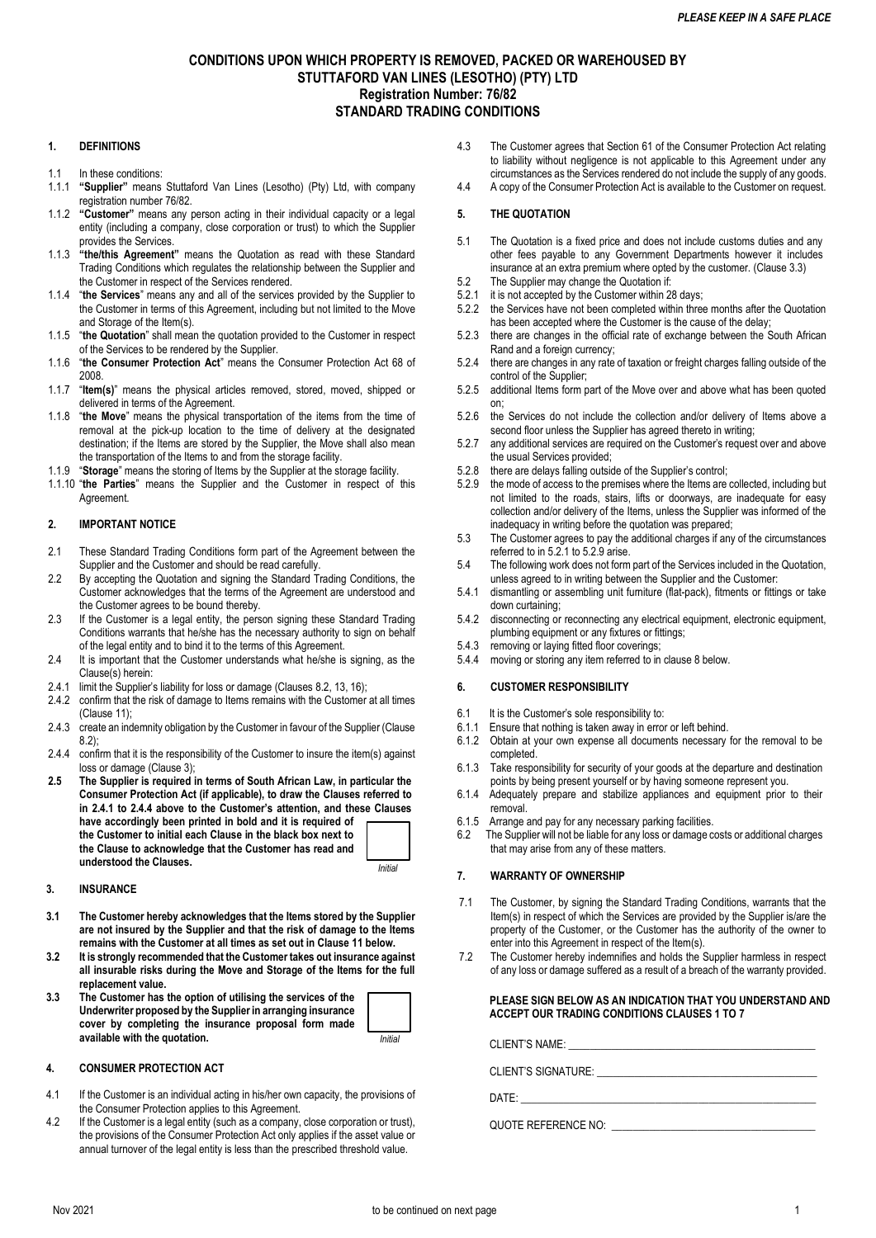# **CONDITIONS UPON WHICH PROPERTY IS REMOVED, PACKED OR WAREHOUSED BY STUTTAFORD VAN LINES (LESOTHO) (PTY) LTD Registration Number: 76/82 STANDARD TRADING CONDITIONS**

## **1. DEFINITIONS**

- 1.1 In these conditions:
- 1.1.1 **"Supplier"** means Stuttaford Van Lines (Lesotho) (Pty) Ltd, with company registration number 76/82.
- 1.1.2 **"Customer"** means any person acting in their individual capacity or a legal entity (including a company, close corporation or trust) to which the Supplier provides the Services.
- 1.1.3 **"the/this Agreement"** means the Quotation as read with these Standard Trading Conditions which regulates the relationship between the Supplier and the Customer in respect of the Services rendered.
- 1.1.4 "**the Services**" means any and all of the services provided by the Supplier to the Customer in terms of this Agreement, including but not limited to the Move and Storage of the Item(s).
- 1.1.5 "**the Quotation**" shall mean the quotation provided to the Customer in respect of the Services to be rendered by the Supplier.
- 1.1.6 "**the Consumer Protection Act**" means the Consumer Protection Act 68 of 2008.
- 1.1.7 "**Item(s)**" means the physical articles removed, stored, moved, shipped or delivered in terms of the Agreement.
- 1.1.8 "**the Move**" means the physical transportation of the items from the time of removal at the pick-up location to the time of delivery at the designated destination; if the Items are stored by the Supplier, the Move shall also mean the transportation of the Items to and from the storage facility.
- 1.1.9 "**Storage**" means the storing of Items by the Supplier at the storage facility.
- 1.1.10 "**the Parties**" means the Supplier and the Customer in respect of this **Agreement**

#### **2. IMPORTANT NOTICE**

- 2.1 These Standard Trading Conditions form part of the Agreement between the Supplier and the Customer and should be read carefully.
- 2.2 By accepting the Quotation and signing the Standard Trading Conditions, the Customer acknowledges that the terms of the Agreement are understood and the Customer agrees to be bound thereby.
- 2.3 If the Customer is a legal entity, the person signing these Standard Trading Conditions warrants that he/she has the necessary authority to sign on behalf of the legal entity and to bind it to the terms of this Agreement.
- 2.4 It is important that the Customer understands what he/she is signing, as the Clause(s) herein:
- 2.4.1 limit the Supplier's liability for loss or damage (Clauses 8.2, 13, 16);
- 2.4.2 confirm that the risk of damage to Items remains with the Customer at all times (Clause 11);
- 2.4.3 create an indemnity obligation by the Customer in favour of the Supplier (Clause 8.2);
- 2.4.4 confirm that it is the responsibility of the Customer to insure the item(s) against loss or damage (Clause 3);
- **2.5 The Supplier is required in terms of South African Law, in particular the Consumer Protection Act (if applicable), to draw the Clauses referred to in 2.4.1 to 2.4.4 above to the Customer's attention, and these Clauses have accordingly been printed in bold and it is required of the Customer to initial each Clause in the black box next to the Clause to acknowledge that the Customer has read and understood the Clauses.** *Initial*

### **3. INSURANCE**

- **3.1 The Customer hereby acknowledges that the Items stored by the Supplier are not insured by the Supplier and that the risk of damage to the Items remains with the Customer at all times as set out in Clause 11 below.**
- **3.2 It is strongly recommended that the Customer takes out insurance against all insurable risks during the Move and Storage of the Items for the full replacement value.**
- **3.3 The Customer has the option of utilising the services of the Underwriter proposed by the Supplier in arranging insurance cover by completing the insurance proposal form made available with the quotation.** *Initial*

#### **4. CONSUMER PROTECTION ACT**

- 4.1 If the Customer is an individual acting in his/her own capacity, the provisions of the Consumer Protection applies to this Agreement.
- 4.2 If the Customer is a legal entity (such as a company, close corporation or trust), the provisions of the Consumer Protection Act only applies if the asset value or annual turnover of the legal entity is less than the prescribed threshold value.
- 4.3 The Customer agrees that Section 61 of the Consumer Protection Act relating to liability without negligence is not applicable to this Agreement under any circumstances as the Services rendered do not include the supply of any goods.
- 4.4 A copy of the Consumer Protection Act is available to the Customer on request.

#### **5. THE QUOTATION**

- 5.1 The Quotation is a fixed price and does not include customs duties and any other fees payable to any Government Departments however it includes insurance at an extra premium where opted by the customer. (Clause 3.3)
- 5.2 The Supplier may change the Quotation if:<br>5.2.1 it is not accepted by the Customer within 28
- it is not accepted by the Customer within 28 days;
- 5.2.2 the Services have not been completed within three months after the Quotation has been accepted where the Customer is the cause of the delay;
- 5.2.3 there are changes in the official rate of exchange between the South African Rand and a foreign currency;
- 5.2.4 there are changes in any rate of taxation or freight charges falling outside of the control of the Supplier;
- 5.2.5 additional Items form part of the Move over and above what has been quoted on;
- 5.2.6 the Services do not include the collection and/or delivery of Items above a second floor unless the Supplier has agreed thereto in writing;
- 5.2.7 any additional services are required on the Customer's request over and above the usual Services provided;
- 5.2.8 there are delays falling outside of the Supplier's control;
- 5.2.9 the mode of access to the premises where the Items are collected, including but not limited to the roads, stairs, lifts or doorways, are inadequate for easy collection and/or delivery of the Items, unless the Supplier was informed of the inadequacy in writing before the quotation was prepared;
- 5.3 The Customer agrees to pay the additional charges if any of the circumstances referred to in 5.2.1 to 5.2.9 arise.
- 5.4 The following work does not form part of the Services included in the Quotation, unless agreed to in writing between the Supplier and the Customer:
- 5.4.1 dismantling or assembling unit furniture (flat-pack), fitments or fittings or take down curtaining;
- 5.4.2 disconnecting or reconnecting any electrical equipment, electronic equipment, plumbing equipment or any fixtures or fittings;
- 5.4.3 removing or laying fitted floor coverings;
- 5.4.4 moving or storing any item referred to in clause 8 below.

### **6. CUSTOMER RESPONSIBILITY**

- 6.1 It is the Customer's sole responsibility to:<br>6.1.1 Ensure that nothing is taken away in error
- Ensure that nothing is taken away in error or left behind.
- 6.1.2 Obtain at your own expense all documents necessary for the removal to be completed.
- 6.1.3 Take responsibility for security of your goods at the departure and destination points by being present yourself or by having someone represent you.
- 6.1.4 Adequately prepare and stabilize appliances and equipment prior to their removal.
- 6.1.5 Arrange and pay for any necessary parking facilities.
- 6.2 The Supplier will not be liable for any loss or damage costs or additional charges that may arise from any of these matters.

## **7. WARRANTY OF OWNERSHIP**

- 7.1 The Customer, by signing the Standard Trading Conditions, warrants that the Item(s) in respect of which the Services are provided by the Supplier is/are the property of the Customer, or the Customer has the authority of the owner to enter into this Agreement in respect of the Item(s).
- 7.2 The Customer hereby indemnifies and holds the Supplier harmless in respect of any loss or damage suffered as a result of a breach of the warranty provided.

#### **PLEASE SIGN BELOW AS AN INDICATION THAT YOU UNDERSTAND AND ACCEPT OUR TRADING CONDITIONS CLAUSES 1 TO 7**

CLIENT'S NAME:

CLIENT'S SIGNATURE: \_\_\_\_\_\_\_\_\_\_\_\_\_\_\_\_\_\_\_\_\_\_\_\_\_\_\_\_\_\_\_\_\_\_\_\_\_\_\_\_\_

 $\mathsf{DATE}\colon$ 

QUOTE REFERENCE NO: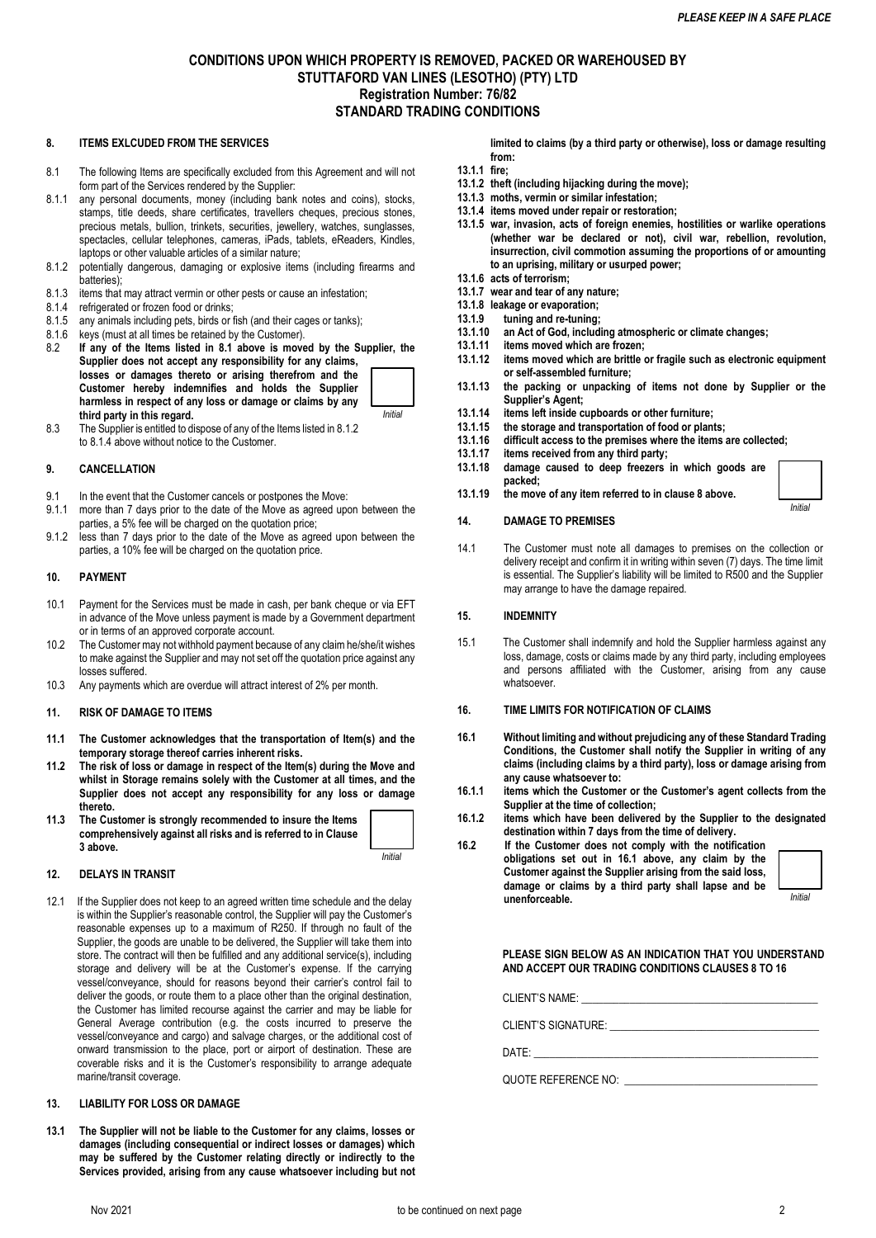# **CONDITIONS UPON WHICH PROPERTY IS REMOVED, PACKED OR WAREHOUSED BY STUTTAFORD VAN LINES (LESOTHO) (PTY) LTD Registration Number: 76/82 STANDARD TRADING CONDITIONS**

### **8. ITEMS EXLCUDED FROM THE SERVICES**

- 8.1 The following Items are specifically excluded from this Agreement and will not form part of the Services rendered by the Supplier:
- 8.1.1 any personal documents, money (including bank notes and coins), stocks, stamps, title deeds, share certificates, travellers cheques, precious stones, precious metals, bullion, trinkets, securities, jewellery, watches, sunglasses, spectacles, cellular telephones, cameras, iPads, tablets, eReaders, Kindles, laptops or other valuable articles of a similar nature;
- 8.1.2 potentially dangerous, damaging or explosive items (including firearms and batteries);
- 8.1.3 items that may attract vermin or other pests or cause an infestation;
- 8.1.4 refrigerated or frozen food or drinks;
- 8.1.5 any animals including pets, birds or fish (and their cages or tanks);
- 8.1.6 keys (must at all times be retained by the Customer).<br>8.2 If any of the Items listed in 8.1 above is move
- If any of the Items listed in 8.1 above is moved by the Supplier, the **Supplier does not accept any responsibility for any claims, losses or damages thereto or arising therefrom and the Customer hereby indemnifies and holds the Supplier harmless in respect of any loss or damage or claims by any third party in this regard.**  *Initial*
- 8.3 The Supplier is entitled to dispose of any of the Items listed in 8.1.2 to 8.1.4 above without notice to the Customer.

#### **9. CANCELLATION**

- 9.1 In the event that the Customer cancels or postpones the Move:
- 9.1.1 more than 7 days prior to the date of the Move as agreed upon between the parties, a 5% fee will be charged on the quotation price;
- 9.1.2 less than 7 days prior to the date of the Move as agreed upon between the parties, a 10% fee will be charged on the quotation price.

#### **10. PAYMENT**

- 10.1 Payment for the Services must be made in cash, per bank cheque or via EFT in advance of the Move unless payment is made by a Government department or in terms of an approved corporate account.
- 10.2 The Customer may not withhold payment because of any claim he/she/it wishes to make against the Supplier and may not set off the quotation price against any losses suffered.
- 10.3 Any payments which are overdue will attract interest of 2% per month.

#### **11. RISK OF DAMAGE TO ITEMS**

- **11.1 The Customer acknowledges that the transportation of Item(s) and the temporary storage thereof carries inherent risks.**
- **11.2 The risk of loss or damage in respect of the Item(s) during the Move and whilst in Storage remains solely with the Customer at all times, and the Supplier does not accept any responsibility for any loss or damage thereto.**
- **11.3 The Customer is strongly recommended to insure the Items comprehensively against all risks and is referred to in Clause 3 above.**

*Initial*

#### **12. DELAYS IN TRANSIT**

12.1 If the Supplier does not keep to an agreed written time schedule and the delay is within the Supplier's reasonable control, the Supplier will pay the Customer's reasonable expenses up to a maximum of R250. If through no fault of the Supplier, the goods are unable to be delivered, the Supplier will take them into store. The contract will then be fulfilled and any additional service(s), including storage and delivery will be at the Customer's expense. If the carrying vessel/conveyance, should for reasons beyond their carrier's control fail to deliver the goods, or route them to a place other than the original destination, the Customer has limited recourse against the carrier and may be liable for General Average contribution (e.g. the costs incurred to preserve the vessel/conveyance and cargo) and salvage charges, or the additional cost of onward transmission to the place, port or airport of destination. These are coverable risks and it is the Customer's responsibility to arrange adequate marine/transit coverage.

#### **13. LIABILITY FOR LOSS OR DAMAGE**

**13.1 The Supplier will not be liable to the Customer for any claims, losses or damages (including consequential or indirect losses or damages) which may be suffered by the Customer relating directly or indirectly to the Services provided, arising from any cause whatsoever including but not** 

**limited to claims (by a third party or otherwise), loss or damage resulting from:**

- **13.1.1 fire;**
- **13.1.2 theft (including hijacking during the move);**
- **13.1.3 moths, vermin or similar infestation; 13.1.4 items moved under repair or restoration;**
- **13.1.5 war, invasion, acts of foreign enemies, hostilities or warlike operations (whether war be declared or not), civil war, rebellion, revolution, insurrection, civil commotion assuming the proportions of or amounting to an uprising, military or usurped power;**
- **13.1.6 acts of terrorism;**
- **13.1.7 wear and tear of any nature;**
- **13.1.8 leakage or evaporation; 13.1.9 tuning and re-tuning;**
- **13.1.10 an Act of God, including atmospheric or climate changes;**
- 
- **13.1.11 items moved which are frozen; 13.1.12 items moved which are brittle or fragile such as electronic equipment or self-assembled furniture;**
- **13.1.13 the packing or unpacking of items not done by Supplier or the Supplier's Agent;**
- **13.1.14 items left inside cupboards or other furniture;**
- **13.1.15 the storage and transportation of food or plants;**
- **13.1.16 difficult access to the premises where the items are collected;**
- **13.1.17 items received from any third party;**
- **13.1.18 damage caused to deep freezers in which goods are packed;**
- **13.1.19 the move of any item referred to in clause 8 above.**

### **14. DAMAGE TO PREMISES**

14.1 The Customer must note all damages to premises on the collection or delivery receipt and confirm it in writing within seven (7) days. The time limit is essential. The Supplier's liability will be limited to R500 and the Supplier may arrange to have the damage repaired.

#### **15. INDEMNITY**

15.1 The Customer shall indemnify and hold the Supplier harmless against any loss, damage, costs or claims made by any third party, including employees and persons affiliated with the Customer, arising from any cause whatsoever.

#### **16. TIME LIMITS FOR NOTIFICATION OF CLAIMS**

- **16.1 Without limiting and without prejudicing any of these Standard Trading Conditions, the Customer shall notify the Supplier in writing of any claims (including claims by a third party), loss or damage arising from any cause whatsoever to:**
- **16.1.1 items which the Customer or the Customer's agent collects from the Supplier at the time of collection;**
- **16.1.2 items which have been delivered by the Supplier to the designated destination within 7 days from the time of delivery.**

**16.2 If the Customer does not comply with the notification obligations set out in 16.1 above, any claim by the Customer against the Supplier arising from the said loss, damage or claims by a third party shall lapse and be unenforceable.** 



*Initial*

**PLEASE SIGN BELOW AS AN INDICATION THAT YOU UNDERSTAND AND ACCEPT OUR TRADING CONDITIONS CLAUSES 8 TO 16**

CLIENT'S NAME:

CLIENT'S SIGNATURE:

DATE: \_\_\_\_\_\_\_\_\_\_\_\_\_\_\_\_\_\_\_\_\_\_\_\_\_\_\_\_\_\_\_\_\_\_\_\_\_\_\_\_\_\_\_\_\_\_\_\_\_\_\_\_\_

QUOTE REFERENCE NO: \_\_\_